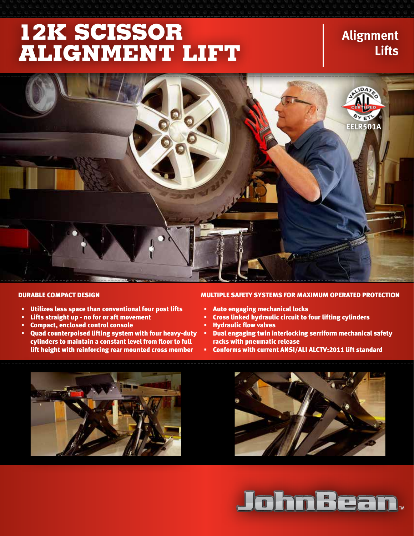# **12k Scissor Alignment lift**

### **Alignment Lifts**



- Utilizes less space than conventional four post lifts
- Lifts straight up no for or aft movement
- Compact, enclosed control console
- Quad counterpoised lifting system with four heavy-duty cylinders to maintain a constant level from floor to full lift height with reinforcing rear mounted cross member

#### Durable compact design Multiple safety systems for maximum operated protection

- Auto engaging mechanical locks
- Cross linked hydraulic circuit to four lifting cylinders
- Hydraulic flow valves
- Dual engaging twin interlocking serriform mechanical safety racks with pneumatic release
- Conforms with current ANSI/ALI ALCTV:2011 lift standard